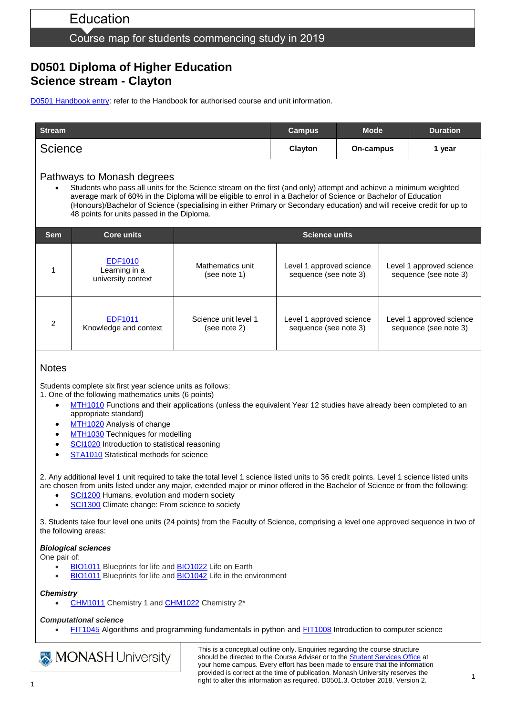# Education

## Course map for students commencing study in 2019

## **D0501 Diploma of Higher Education Science stream - Clayton**

[D0501 Handbook entry:](http://www.monash.edu.au/pubs/2019handbooks/courses/D0501.html) refer to the Handbook for authorised course and unit information.

| <b>Stream</b>  | <b>Campus</b> | <b>Mode</b> | <b>Duration</b> |
|----------------|---------------|-------------|-----------------|
| <b>Science</b> | Clayton       | On-campus   | year            |

### Pathways to Monash degrees

 Students who pass all units for the Science stream on the first (and only) attempt and achieve a minimum weighted average mark of 60% in the Diploma will be eligible to enrol in a Bachelor of Science or Bachelor of Education (Honours)/Bachelor of Science (specialising in either Primary or Secondary education) and will receive credit for up to 48 points for units passed in the Diploma.

| <b>Sem</b> | Core units                                            | <b>Science units</b>                 |                                                   |                                                   |  |
|------------|-------------------------------------------------------|--------------------------------------|---------------------------------------------------|---------------------------------------------------|--|
|            | <b>EDF1010</b><br>Learning in a<br>university context | Mathematics unit<br>(see note 1)     | Level 1 approved science<br>sequence (see note 3) | Level 1 approved science<br>sequence (see note 3) |  |
| 2          | EDF1011<br>Knowledge and context                      | Science unit level 1<br>(see note 2) | Level 1 approved science<br>sequence (see note 3) | Level 1 approved science<br>sequence (see note 3) |  |

### **Notes**

Students complete six first year science units as follows:

- 1. One of the following mathematics units (6 points)
	- [MTH1010](http://www.monash.edu.au/pubs/handbooks/units/MTH1010.html) Functions and their applications (unless the equivalent Year 12 studies have already been completed to an appropriate standard)
	- [MTH1020](http://www.monash.edu.au/pubs/handbooks/units/MTH1020.html) Analysis of change
	- [MTH1030](http://www.monash.edu.au/pubs/handbooks/units/MTH1030.html) Techniques for modelling
	- [SCI1020](http://www.monash.edu.au/pubs/handbooks/units/SCI1020.html) Introduction to statistical reasoning
	- [STA1010](http://www.monash.edu.au/pubs/handbooks/units/STA1010.html) Statistical methods for science

2. Any additional level 1 unit required to take the total level 1 science listed units to 36 credit points. Level 1 science listed units are chosen from units listed under any major, extended major or minor offered in the Bachelor of Science or from the following:

- [SCI1200](https://www.monash.edu.au/pubs/handbooks/units/SCI1200.html) Humans, evolution and modern society
- [SCI1300](https://www.monash.edu.au/pubs/handbooks/units/SCI1300.html) Climate change: From science to society

3. Students take four level one units (24 points) from the Faculty of Science, comprising a level one approved sequence in two of the following areas:

#### *Biological sciences*

One pair of:

- [BIO1011](http://www.monash.edu.au/pubs/handbooks/units/BIO1011.html) Blueprints for life and [BIO1022](http://www.monash.edu.au/pubs/handbooks/units/BIO1022.html) Life on Earth
- [BIO1011](http://www.monash.edu.au/pubs/handbooks/units/BIO1011.html) Blueprints for life and **BIO1042** Life in the environment

#### *Chemistry*

[CHM1011](http://www.monash.edu.au/pubs/handbooks/units/CHM1011.html) Chemistry 1 and [CHM1022](http://www.monash.edu.au/pubs/handbooks/units/CHM1022.html) Chemistry 2\*

#### *Computational science*

[FIT1045](http://www.monash.edu.au/pubs/handbooks/units/FIT1045.html) Algorithms and programming fundamentals in python and [FIT1008](http://www.monash.edu.au/pubs/handbooks/units/FIT1008.html) Introduction to computer science

**MONASH University** 

This is a conceptual outline only. Enquiries regarding the course structure should be directed to the Course Adviser or to the **Student Services Office** at your home campus. Every effort has been made to ensure that the information provided is correct at the time of publication. Monash University reserves the right to alter this information as required. D0501.3. October 2018. Version 2.